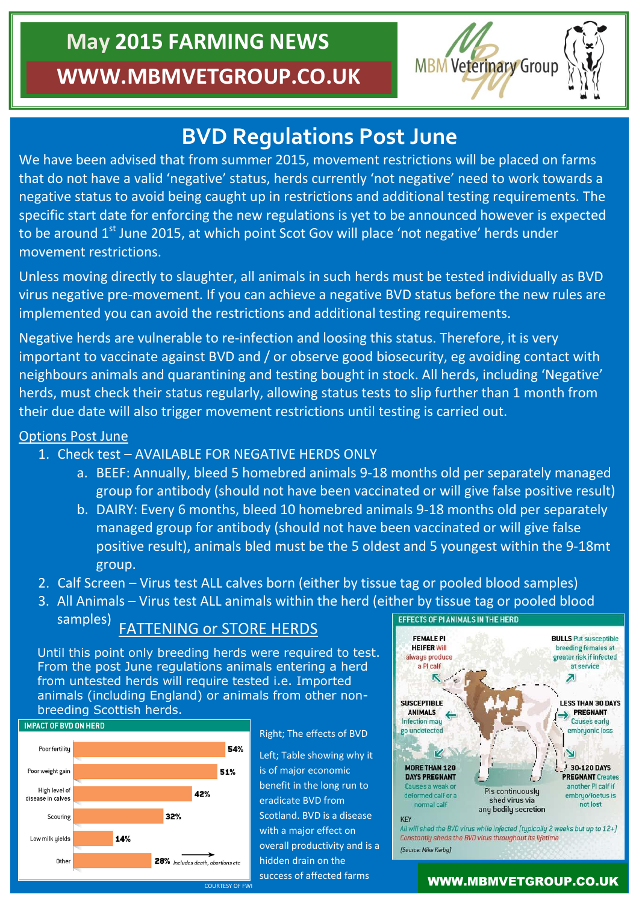# **May 2015 FARMING NEWS WWW.MBMVETGROUP.CO.UK**



## **BVD Regulations Post June**

We have been advised that from summer 2015, movement restrictions will be placed on farms that do not have a valid 'negative' status, herds currently 'not negative' need to work towards a negative status to avoid being caught up in restrictions and additional testing requirements. The specific start date for enforcing the new regulations is yet to be announced however is expected to be around 1<sup>st</sup> June 2015, at which point Scot Gov will place 'not negative' herds under movement restrictions.

Unless moving directly to slaughter, all animals in such herds must be tested individually as BVD virus negative pre-movement. If you can achieve a negative BVD status before the new rules are implemented you can avoid the restrictions and additional testing requirements.

Negative herds are vulnerable to re-infection and loosing this status. Therefore, it is very important to vaccinate against BVD and / or observe good biosecurity, eg avoiding contact with neighbours animals and quarantining and testing bought in stock. All herds, including 'Negative' herds, must check their status regularly, allowing status tests to slip further than 1 month from their due date will also trigger movement restrictions until testing is carried out.

### Options Post June

- 1. Check test AVAILABLE FOR NEGATIVE HERDS ONLY
	- a. BEEF: Annually, bleed 5 homebred animals 9-18 months old per separately managed group for antibody (should not have been vaccinated or will give false positive result)
	- b. DAIRY: Every 6 months, bleed 10 homebred animals 9-18 months old per separately managed group for antibody (should not have been vaccinated or will give false positive result), animals bled must be the 5 oldest and 5 youngest within the 9-18mt group.
- 2. Calf Screen Virus test ALL calves born (either by tissue tag or pooled blood samples)
- 3. All Animals Virus test ALL animals within the herd (either by tissue tag or pooled blood EFFECTS OF PLANIMALS IN THE HERD samples)

### FATTENING or STORE HERDS

Until this point only breeding herds were required to test. From the post June regulations animals entering a herd from untested herds will require tested i.e. Imported animals (including England) or animals from other nonbreeding Scottish herds.



Right; The effects of BVD

Left; Table showing why it is of major economic benefit in the long run to eradicate BVD from Scotland. BVD is a disease with a major effect on overall productivity and is a hidden drain on the success of affected farms



COURTESY OF FWI SUCCESS OF ATTECLE OF TATTITS **WWW.MBMVETGROUP.CO.UK**